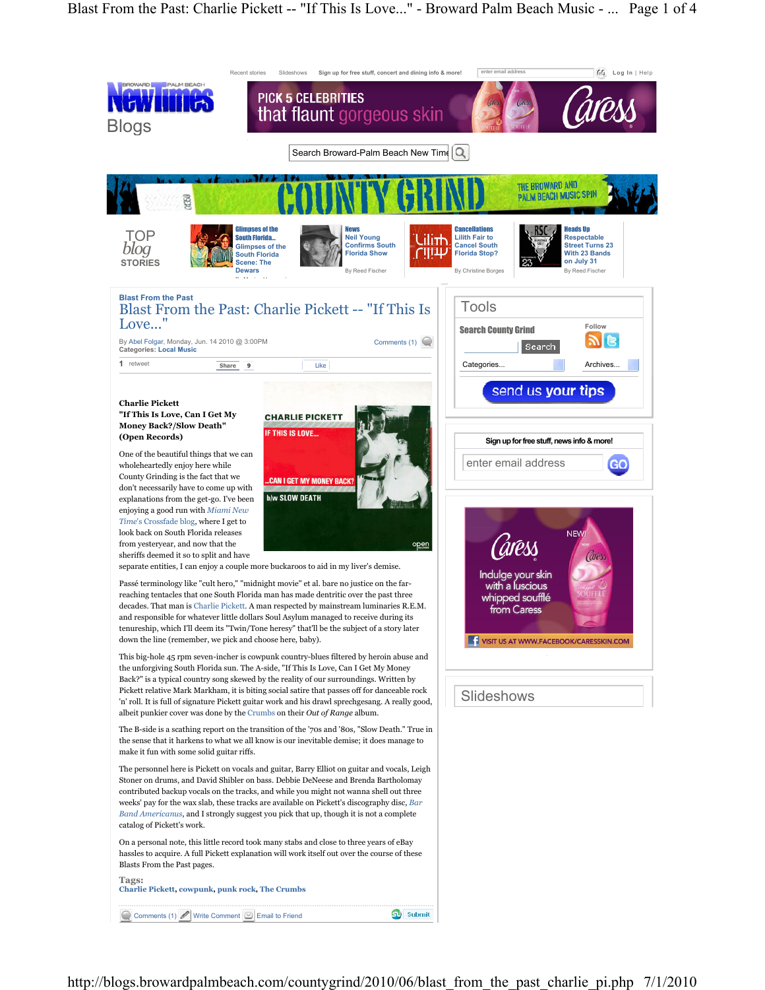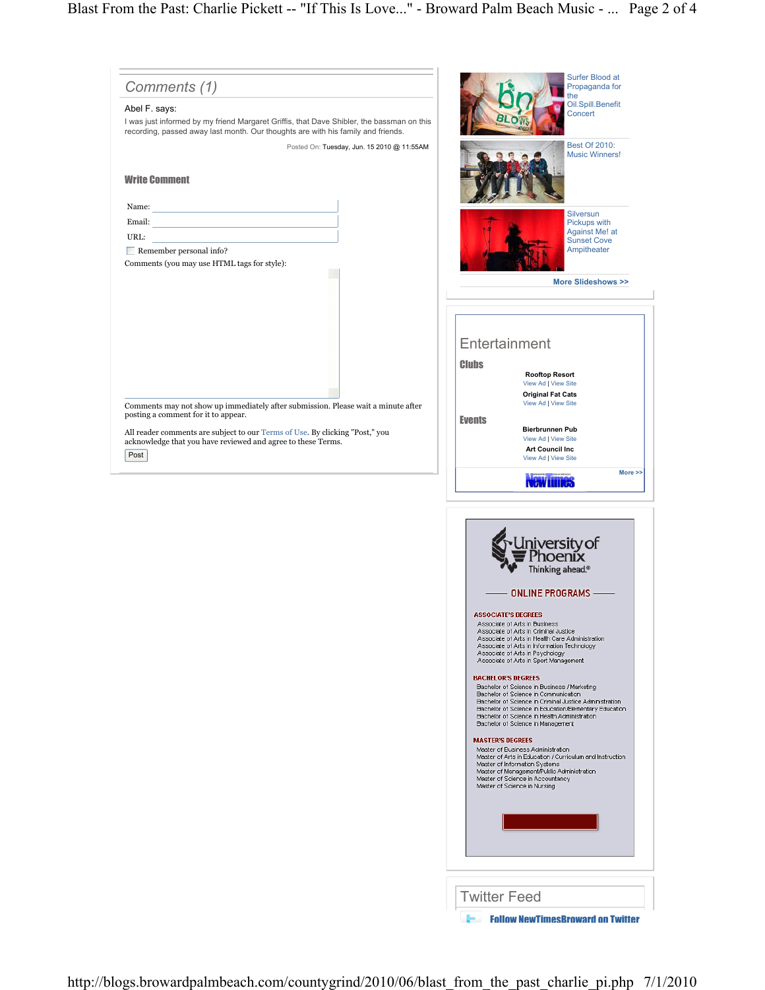| Comments (1)                                                                                                                                                                                                                                                                     | Surfer Blood at<br>Propaganda for<br>the                                                                                                                                                                                                                                                                                                                                                                                                                                                                                                                                                                                                                                                                                                                                                                                                                                                                                                                                                                                                                                                                                                                |
|----------------------------------------------------------------------------------------------------------------------------------------------------------------------------------------------------------------------------------------------------------------------------------|---------------------------------------------------------------------------------------------------------------------------------------------------------------------------------------------------------------------------------------------------------------------------------------------------------------------------------------------------------------------------------------------------------------------------------------------------------------------------------------------------------------------------------------------------------------------------------------------------------------------------------------------------------------------------------------------------------------------------------------------------------------------------------------------------------------------------------------------------------------------------------------------------------------------------------------------------------------------------------------------------------------------------------------------------------------------------------------------------------------------------------------------------------|
| Abel F. says:<br>I was just informed by my friend Margaret Griffis, that Dave Shibler, the bassman on this<br>recording, passed away last month. Our thoughts are with his family and friends.                                                                                   | Oil.Spill.Benefit<br>Concert                                                                                                                                                                                                                                                                                                                                                                                                                                                                                                                                                                                                                                                                                                                                                                                                                                                                                                                                                                                                                                                                                                                            |
| Posted On: Tuesday, Jun. 15 2010 @ 11:55AM                                                                                                                                                                                                                                       | <b>Best Of 2010:</b><br><b>Music Winners!</b>                                                                                                                                                                                                                                                                                                                                                                                                                                                                                                                                                                                                                                                                                                                                                                                                                                                                                                                                                                                                                                                                                                           |
| <b>Write Comment</b>                                                                                                                                                                                                                                                             |                                                                                                                                                                                                                                                                                                                                                                                                                                                                                                                                                                                                                                                                                                                                                                                                                                                                                                                                                                                                                                                                                                                                                         |
| Name:                                                                                                                                                                                                                                                                            | <b>Silversun</b>                                                                                                                                                                                                                                                                                                                                                                                                                                                                                                                                                                                                                                                                                                                                                                                                                                                                                                                                                                                                                                                                                                                                        |
| Email:<br>URL:                                                                                                                                                                                                                                                                   | Pickups with<br>Against Me! at                                                                                                                                                                                                                                                                                                                                                                                                                                                                                                                                                                                                                                                                                                                                                                                                                                                                                                                                                                                                                                                                                                                          |
| $\blacksquare$ Remember personal info?                                                                                                                                                                                                                                           | <b>Sunset Cove</b><br>Ampitheater                                                                                                                                                                                                                                                                                                                                                                                                                                                                                                                                                                                                                                                                                                                                                                                                                                                                                                                                                                                                                                                                                                                       |
| Comments (you may use HTML tags for style):                                                                                                                                                                                                                                      |                                                                                                                                                                                                                                                                                                                                                                                                                                                                                                                                                                                                                                                                                                                                                                                                                                                                                                                                                                                                                                                                                                                                                         |
| Comments may not show up immediately after submission. Please wait a minute after<br>posting a comment for it to appear.<br>All reader comments are subject to our Terms of Use. By clicking "Post," you<br>acknowledge that you have reviewed and agree to these Terms.<br>Post | More Slideshows >><br>Entertainment<br><b>Clubs</b><br><b>Rooftop Resort</b><br>View Ad   View Site<br><b>Original Fat Cats</b><br>View Ad   View Site<br><b>Events</b><br><b>Bierbrunnen Pub</b><br>View Ad   View Site<br><b>Art Council Inc</b><br>View Ad   View Site<br>More >><br><b>NGW LILIKGS</b><br>niversity of<br><i>T</i> hoenix<br>Thinking ahead. <sup>®</sup><br><b>ONLINE PROGRAMS -</b><br><b>ASSOCIATE'S DEGREES</b><br>Associate of Arts in Business<br>Associate of Arts in Criminal Justice<br>Associate of Arts in Health Care Administration<br>Associate of Arts in Information Technology<br>Associate of Arts in Psychology<br>Associate of Arts in Sport Management<br><b>BACHELOR'S DEGREES</b><br>Bachelor of Science in Business / Marketing<br>Bachelor of Science in Communication<br>Bachelor of Science in Criminal Justice Administration<br>Bachelor of Science in Education/Elementary Education<br>Bachelor of Science in Health Administration<br>Bachelor of Science in Management<br><b>MASTER'S DEGREES</b><br>Master of Business Administration<br>Master of Arts in Education / Curriculum and Instruction |
|                                                                                                                                                                                                                                                                                  | Master of Information Systems<br>Master of Management/Public Administration<br>Master of Science in Accountancy<br>Master of Science in Nursing                                                                                                                                                                                                                                                                                                                                                                                                                                                                                                                                                                                                                                                                                                                                                                                                                                                                                                                                                                                                         |
|                                                                                                                                                                                                                                                                                  |                                                                                                                                                                                                                                                                                                                                                                                                                                                                                                                                                                                                                                                                                                                                                                                                                                                                                                                                                                                                                                                                                                                                                         |
|                                                                                                                                                                                                                                                                                  |                                                                                                                                                                                                                                                                                                                                                                                                                                                                                                                                                                                                                                                                                                                                                                                                                                                                                                                                                                                                                                                                                                                                                         |
|                                                                                                                                                                                                                                                                                  | <b>Twitter Feed</b>                                                                                                                                                                                                                                                                                                                                                                                                                                                                                                                                                                                                                                                                                                                                                                                                                                                                                                                                                                                                                                                                                                                                     |
|                                                                                                                                                                                                                                                                                  | <b>Follow NewTimesBroward on Twitter</b>                                                                                                                                                                                                                                                                                                                                                                                                                                                                                                                                                                                                                                                                                                                                                                                                                                                                                                                                                                                                                                                                                                                |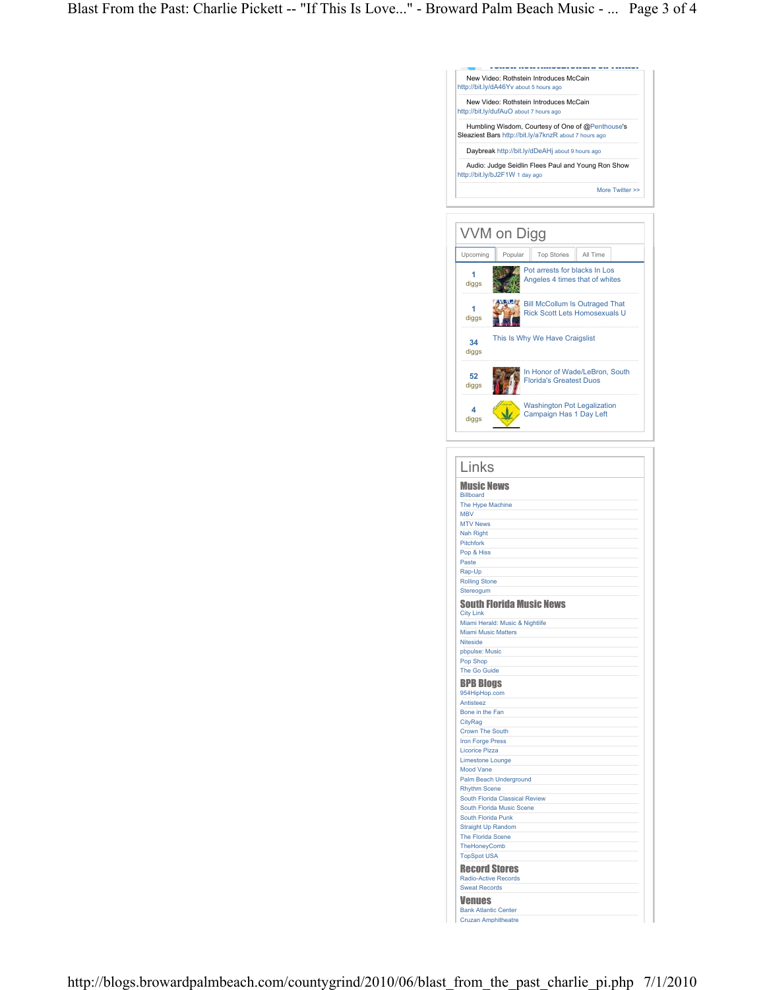|                                                                                                                                                     |                                                                        |  | New Video: Rothstein Introduces McCain |  |                 |  |  |
|-----------------------------------------------------------------------------------------------------------------------------------------------------|------------------------------------------------------------------------|--|----------------------------------------|--|-----------------|--|--|
| http://bit.ly/dA46Yv about 5 hours ago<br>New Video: Rothstein Introduces McCain                                                                    |                                                                        |  |                                        |  |                 |  |  |
| http://bit.ly/dufAuO about 7 hours ago<br>Humbling Wisdom, Courtesy of One of @Penthouse's<br>Sleaziest Bars http://bit.ly/a7knzR about 7 hours ago |                                                                        |  |                                        |  |                 |  |  |
| Daybreak http://bit.ly/dDeAHj about 9 hours ago                                                                                                     |                                                                        |  |                                        |  |                 |  |  |
| Audio: Judge Seidlin Flees Paul and Young Ron Show                                                                                                  |                                                                        |  |                                        |  |                 |  |  |
| http://bit.ly/bJ2F1W 1 day ago                                                                                                                      |                                                                        |  |                                        |  |                 |  |  |
|                                                                                                                                                     |                                                                        |  |                                        |  | More Twitter >> |  |  |
|                                                                                                                                                     |                                                                        |  |                                        |  |                 |  |  |
| VVM on Digg                                                                                                                                         |                                                                        |  |                                        |  |                 |  |  |
| Upcoming                                                                                                                                            | Popular<br><b>Top Stories</b><br>All Time                              |  |                                        |  |                 |  |  |
| 1<br>diggs                                                                                                                                          | Pot arrests for blacks In Los<br>Angeles 4 times that of whites        |  |                                        |  |                 |  |  |
| 1<br>diggs                                                                                                                                          | <b>Bill McCollum Is Outraged That</b><br>Rick Scott Lets Homosexuals U |  |                                        |  |                 |  |  |
| This Is Why We Have Craigslist<br>34<br>diggs                                                                                                       |                                                                        |  |                                        |  |                 |  |  |
| 52<br>diggs                                                                                                                                         | In Honor of Wade/LeBron, South<br><b>Florida's Greatest Duos</b>       |  |                                        |  |                 |  |  |
| 4<br>diggs                                                                                                                                          | <b>Washington Pot Legalization</b><br>Campaign Has 1 Day Left          |  |                                        |  |                 |  |  |
|                                                                                                                                                     |                                                                        |  |                                        |  |                 |  |  |
|                                                                                                                                                     |                                                                        |  |                                        |  |                 |  |  |
| Links                                                                                                                                               |                                                                        |  |                                        |  |                 |  |  |
| <b>Music News</b><br><b>Billboard</b>                                                                                                               |                                                                        |  |                                        |  |                 |  |  |
| The Hype Machine                                                                                                                                    |                                                                        |  |                                        |  |                 |  |  |
| <b>MBV</b><br><b>MTV News</b>                                                                                                                       |                                                                        |  |                                        |  |                 |  |  |
| <b>Nah Right</b><br><b>Pitchfork</b>                                                                                                                |                                                                        |  |                                        |  |                 |  |  |
| Pop & Hiss                                                                                                                                          |                                                                        |  |                                        |  |                 |  |  |
| Paste                                                                                                                                               |                                                                        |  |                                        |  |                 |  |  |
|                                                                                                                                                     | Rap-Up<br><b>Rolling Stone</b>                                         |  |                                        |  |                 |  |  |
| Stereogum                                                                                                                                           |                                                                        |  |                                        |  |                 |  |  |
| South Florida Music News<br><b>City Link</b>                                                                                                        |                                                                        |  |                                        |  |                 |  |  |
| Miami Herald: Music & Nightlife                                                                                                                     |                                                                        |  |                                        |  |                 |  |  |
| <b>Miami Music Matters</b><br><b>Niteside</b>                                                                                                       |                                                                        |  |                                        |  |                 |  |  |
| pbpulse: Music                                                                                                                                      |                                                                        |  |                                        |  |                 |  |  |
| Pop Shop<br>The Go Guide                                                                                                                            |                                                                        |  |                                        |  |                 |  |  |
| <b>BPB Blogs</b>                                                                                                                                    |                                                                        |  |                                        |  |                 |  |  |
| 954HipHop.com<br>Antisteez                                                                                                                          |                                                                        |  |                                        |  |                 |  |  |
| Bone in the Fan                                                                                                                                     |                                                                        |  |                                        |  |                 |  |  |
| CityRag<br><b>Crown The South</b>                                                                                                                   |                                                                        |  |                                        |  |                 |  |  |
| <b>Iron Forge Press</b>                                                                                                                             |                                                                        |  |                                        |  |                 |  |  |
|                                                                                                                                                     | <b>Licorice Pizza</b>                                                  |  |                                        |  |                 |  |  |
| <b>Limestone Lounge</b><br><b>Mood Vane</b>                                                                                                         |                                                                        |  |                                        |  |                 |  |  |
| <b>Palm Beach Underground</b>                                                                                                                       |                                                                        |  |                                        |  |                 |  |  |
| <b>Rhythm Scene</b><br>South Florida Classical Review                                                                                               |                                                                        |  |                                        |  |                 |  |  |
| South Florida Music Scene                                                                                                                           |                                                                        |  |                                        |  |                 |  |  |
| South Florida Punk<br><b>Straight Up Random</b>                                                                                                     |                                                                        |  |                                        |  |                 |  |  |
| The Florida Scene                                                                                                                                   |                                                                        |  |                                        |  |                 |  |  |
| TheHoneyComb<br><b>TopSpot USA</b>                                                                                                                  |                                                                        |  |                                        |  |                 |  |  |
| <b>Record Stores</b>                                                                                                                                |                                                                        |  |                                        |  |                 |  |  |
| <b>Radio-Active Records</b><br><b>Sweat Records</b>                                                                                                 |                                                                        |  |                                        |  |                 |  |  |
| <b>Venues</b>                                                                                                                                       |                                                                        |  |                                        |  |                 |  |  |
| <b>Bank Atlantic Center</b>                                                                                                                         |                                                                        |  |                                        |  |                 |  |  |
| <b>Cruzan Amphitheatre</b>                                                                                                                          |                                                                        |  |                                        |  |                 |  |  |

Follow NewTimesBroward on Twitter